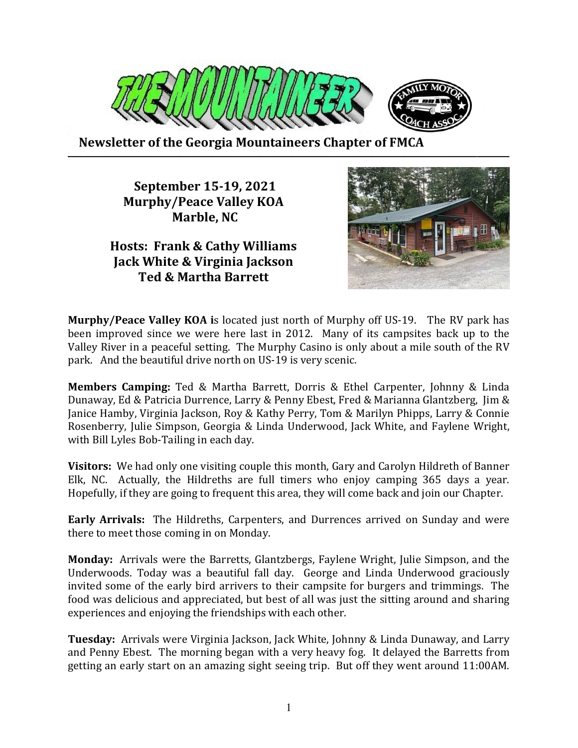

 **Newsletter of the Georgia Mountaineers Chapter of FMCA ───────────────────────────────────────────────────────**

> **September 15-19, 2021 Murphy/Peace Valley KOA Marble, NC**

**Hosts: Frank & Cathy Williams Jack White & Virginia Jackson Ted & Martha Barrett** 



**Murphy/Peace Valley KOA i**s located just north of Murphy off US-19. The RV park has been improved since we were here last in 2012. Many of its campsites back up to the Valley River in a peaceful setting. The Murphy Casino is only about a mile south of the RV park. And the beautiful drive north on US-19 is very scenic.

**Members Camping:** Ted & Martha Barrett, Dorris & Ethel Carpenter, Johnny & Linda Dunaway, Ed & Patricia Durrence, Larry & Penny Ebest, Fred & Marianna Glantzberg, Jim & Janice Hamby, Virginia Jackson, Roy & Kathy Perry, Tom & Marilyn Phipps, Larry & Connie Rosenberry, Julie Simpson, Georgia & Linda Underwood, Jack White, and Faylene Wright, with Bill Lyles Bob-Tailing in each day.

**Visitors:** We had only one visiting couple this month, Gary and Carolyn Hildreth of Banner Elk, NC. Actually, the Hildreths are full timers who enjoy camping 365 days a year. Hopefully, if they are going to frequent this area, they will come back and join our Chapter.

**Early Arrivals:** The Hildreths, Carpenters, and Durrences arrived on Sunday and were there to meet those coming in on Monday.

**Monday:** Arrivals were the Barretts, Glantzbergs, Faylene Wright, Julie Simpson, and the Underwoods. Today was a beautiful fall day. George and Linda Underwood graciously invited some of the early bird arrivers to their campsite for burgers and trimmings. The food was delicious and appreciated, but best of all was just the sitting around and sharing experiences and enjoying the friendships with each other.

**Tuesday:** Arrivals were Virginia Jackson, Jack White, Johnny & Linda Dunaway, and Larry and Penny Ebest. The morning began with a very heavy fog. It delayed the Barretts from getting an early start on an amazing sight seeing trip. But off they went around 11:00AM.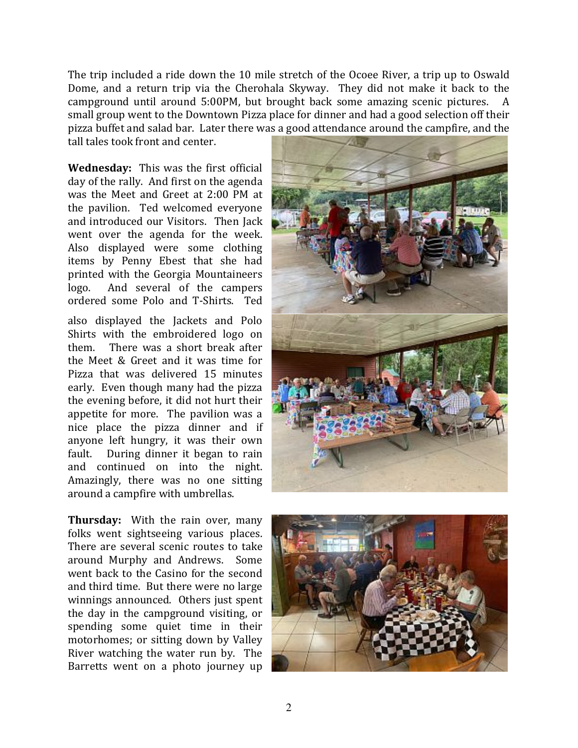The trip included a ride down the 10 mile stretch of the Ocoee River, a trip up to Oswald Dome, and a return trip via the Cherohala Skyway. They did not make it back to the campground until around 5:00PM, but brought back some amazing scenic pictures. A small group went to the Downtown Pizza place for dinner and had a good selection off their pizza buffet and salad bar. Later there was a good attendance around the campfire, and the

tall tales took front and center.

**Wednesday:** This was the first official day of the rally. And first on the agenda was the Meet and Greet at 2:00 PM at the pavilion. Ted welcomed everyone and introduced our Visitors. Then Jack went over the agenda for the week. Also displayed were some clothing items by Penny Ebest that she had printed with the Georgia Mountaineers logo. And several of the campers ordered some Polo and T-Shirts. Ted

also displayed the Jackets and Polo Shirts with the embroidered logo on them. There was a short break after the Meet & Greet and it was time for Pizza that was delivered 15 minutes early. Even though many had the pizza the evening before, it did not hurt their appetite for more. The pavilion was a nice place the pizza dinner and if anyone left hungry, it was their own fault. During dinner it began to rain and continued on into the night. Amazingly, there was no one sitting around a campfire with umbrellas.

**Thursday:** With the rain over, many folks went sightseeing various places. There are several scenic routes to take around Murphy and Andrews. Some went back to the Casino for the second and third time. But there were no large winnings announced. Others just spent the day in the campground visiting, or spending some quiet time in their motorhomes; or sitting down by Valley River watching the water run by. The Barretts went on a photo journey up



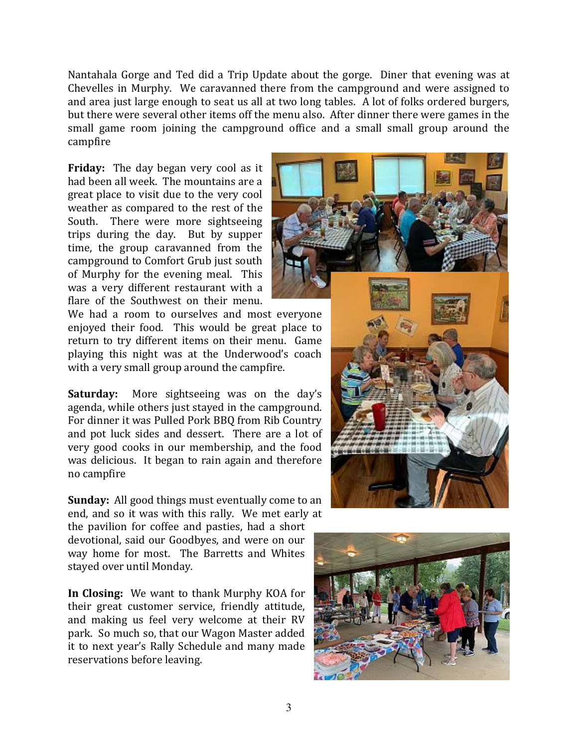Nantahala Gorge and Ted did a Trip Update about the gorge. Diner that evening was at Chevelles in Murphy. We caravanned there from the campground and were assigned to and area just large enough to seat us all at two long tables. A lot of folks ordered burgers, but there were several other items off the menu also. After dinner there were games in the small game room joining the campground office and a small small group around the campfire

**Friday:** The day began very cool as it had been all week. The mountains are a great place to visit due to the very cool weather as compared to the rest of the South. There were more sightseeing trips during the day. But by supper time, the group caravanned from the campground to Comfort Grub just south of Murphy for the evening meal. This was a very different restaurant with a flare of the Southwest on their menu.

We had a room to ourselves and most everyone enjoyed their food. This would be great place to return to try different items on their menu. Game playing this night was at the Underwood's coach with a very small group around the campfire.

**Saturday:** More sightseeing was on the day's agenda, while others just stayed in the campground. For dinner it was Pulled Pork BBQ from Rib Country and pot luck sides and dessert. There are a lot of very good cooks in our membership, and the food was delicious. It began to rain again and therefore no campfire

**Sunday:** All good things must eventually come to an end, and so it was with this rally. We met early at

the pavilion for coffee and pasties, had a short devotional, said our Goodbyes, and were on our way home for most. The Barretts and Whites stayed over until Monday.

**In Closing:** We want to thank Murphy KOA for their great customer service, friendly attitude, and making us feel very welcome at their RV park. So much so, that our Wagon Master added it to next year's Rally Schedule and many made reservations before leaving.